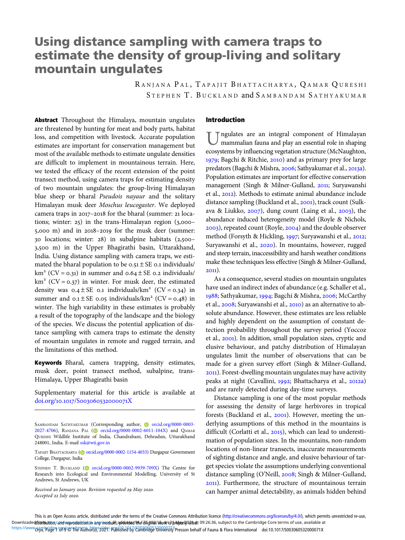# Using distance sampling with camera traps to estimate the density of group-living and solitary mountain ungulates

RANJANA PAL, TAPAJIT BHATTACHARYA, QAMAR QURESHI STEPHEN T. BUCKLAND and SAMBANDAM SATHYAKUMAR

Abstract Throughout the Himalaya, mountain ungulates are threatened by hunting for meat and body parts, habitat loss, and competition with livestock. Accurate population estimates are important for conservation management but most of the available methods to estimate ungulate densities are difficult to implement in mountainous terrain. Here, we tested the efficacy of the recent extension of the point transect method, using camera traps for estimating density of two mountain ungulates: the group-living Himalayan blue sheep or bharal Pseudois nayaur and the solitary Himalayan musk deer Moschus leucogaster. We deployed camera traps in 2017-2018 for the bharal (summer: 21 locations; winter:  $25$ ) in the trans-Himalayan region (3,000- $5,000$  m) and in  $2018-2019$  for the musk deer (summer:  $\alpha$  locations; winter: 28) in subalpine habitats (2,500– 3,500 m) in the Upper Bhagirathi basin, Uttarakhand, India. Using distance sampling with camera traps, we estimated the bharal population to be  $0.51 \pm SE$  0.1 individuals/  $km<sup>2</sup> (CV = 0.31)$  in summer and  $0.64 \pm SE$  0.2 individuals/  $km<sup>2</sup> (CV = 0.37)$  in winter. For musk deer, the estimated density was  $0.4 \pm SE$  0.1 individuals/km<sup>2</sup> (CV = 0.34) in summer and  $0.1 \pm SE$  0.05 individuals/km<sup>2</sup> (CV = 0.48) in winter. The high variability in these estimates is probably a result of the topography of the landscape and the biology of the species. We discuss the potential application of distance sampling with camera traps to estimate the density of mountain ungulates in remote and rugged terrain, and the limitations of this method.

Keywords Bharal, camera trapping, density estimates, musk deer, point transect method, subalpine, trans-Himalaya, Upper Bhagirathi basin

Supplementary material for this article is available at doi.org/10.1017/S003060532000071X

TAPAJIT BHATTACHARYA (@ [orcid.org/0000-0002-1154-4033](https://orcid.org/0000-0002-1154-4033)) Durgapur Government College, Durgapur, India

STEPHEN T. BUCKLAND [\(](https://orcid.org) [orcid.org/0000-0002-9939-709X](https://orcid.org/0000-0002-9939-709X)) The Centre for Research into Ecological and Environmental Modelling, University of St Andrews, St Andrews, UK

Received 20 January 2020. Revision requested 29 May 2020. Accepted 22 July 2020.

### Introduction

ngulates are an integral component of Himalayan mammalian fauna and play an essential role in shaping ecosystems by influencing vegetation structure (McNaughton, 1979; Bagchi & Ritchie, 2010) and as primary prey for large predators (Bagchi & Mishra, 2006; Sathyakumar et al., 2013a). Population estimates are important for effective conservation management (Singh & Milner-Gulland, 2011; Suryawanshi et al., 2012). Methods to estimate animal abundance include distance sampling (Buckland et al., 2001), track count (Sulkava & Liukko,  $2007$ ), dung count (Laing et al.,  $2003$ ), the abundance induced heterogeneity model (Royle & Nichols, 2003), repeated count (Royle, 2004) and the double observer method (Forsyth & Hickling, 1997; Suryawanshi et al., 2012; Suryawanshi et al., 2020). In mountains, however, rugged and steep terrain, inaccessibility and harsh weather conditions make these techniques less effective (Singh & Milner-Gulland,  $2011$ ).

As a consequence, several studies on mountain ungulates have used an indirect index of abundance (e.g. Schaller et al., 1988; Sathyakumar, 1994; Bagchi & Mishra, 2006; McCarthy et al., 2008; Suryawanshi et al., 2010) as an alternative to absolute abundance. However, these estimates are less reliable and highly dependent on the assumption of constant detection probability throughout the survey period (Yoccoz et al., 2001). In addition, small population sizes, cryptic and elusive behaviour, and patchy distribution of Himalayan ungulates limit the number of observations that can be made for a given survey effort (Singh & Milner-Gulland, ). Forest-dwelling mountain ungulates may have activity peaks at night (Cavallini, 1992; Bhattacharya et al., 2012a) and are rarely detected during day-time surveys.

Distance sampling is one of the most popular methods for assessing the density of large herbivores in tropical forests (Buckland et al., 2001). However, meeting the underlying assumptions of this method in the mountains is difficult (Corlatti et al., 2015), which can lead to underestimation of population sizes. In the mountains, non-random locations of non-linear transects, inaccurate measurements of sighting distance and angle, and elusive behaviour of target species violate the assumptions underlying conventional distance sampling (O'Neill, 2008; Singh & Milner-Gulland, ). Furthermore, the structure of mountainous terrain can hamper animal detectability, as animals hidden behind

This is an Open Access article, distributed under the terms of the Creative Commons Attribution licence (<http://creativecommons.org/licenses/by/4.0/>), which permits unrestricted re-use, Downloaded**hstributio**nsand veproductiongn ang/medium,a**dduted ให**้อ <mark>อีญที่มี Work is holowis phote to t</mark>o:26:36, subject to the Cambridge Core terms of use, available at https://www6px\bridgeq.org/@TheEXUthbMys26291.pLiblishedby/eambridge3dRReR3tyYPresson behalf of Fauna & Flora International doi:10.1017/S003060532000071X

SAMBANDAM SATHYAKUMAR (Corresponding author, Correid.org/0000-0003-[2027-4706](https://orcid.org/0000-0003-2027-4706)), RANJANA PAL [\(](https://orcid.org)**a)** [orcid.org/0000-0002-6011-104X](https://orcid.org/0000-0002-6011-104X)) and QAMAR QURESHI Wildlife Institute of India, Chandrabani, Dehradun, Uttarakhand 248001, India. E-mail [ssk@wii.gov.in](mailto:ssk@wii.gov.in)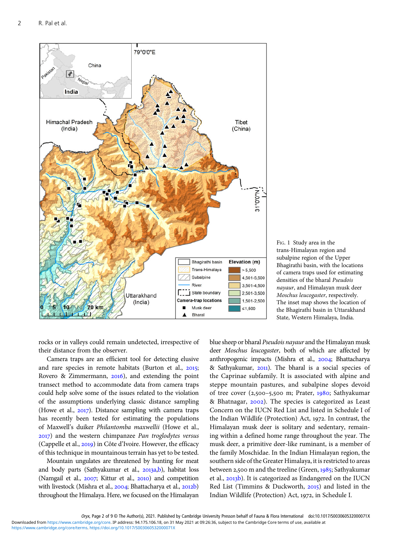<span id="page-1-0"></span>

FIG. 1 Study area in the trans-Himalayan region and subalpine region of the Upper Bhagirathi basin, with the locations of camera traps used for estimating densities of the bharal Pseudois nayaur, and Himalayan musk deer Moschus leucogaster, respectively. The inset map shows the location of the Bhagirathi basin in Uttarakhand State, Western Himalaya, India.

rocks or in valleys could remain undetected, irrespective of their distance from the observer.

Camera traps are an efficient tool for detecting elusive and rare species in remote habitats (Burton et al.,  $2015$ ; Rovero & Zimmermann,  $2016$ , and extending the point transect method to accommodate data from camera traps could help solve some of the issues related to the violation of the assumptions underlying classic distance sampling (Howe et al.,  $2017$ ). Distance sampling with camera traps has recently been tested for estimating the populations of Maxwell's duiker Philantomba maxwellii (Howe et al., ) and the western chimpanzee Pan troglodytes versus (Cappelle et al., 2019) in Côte d'Ivoire. However, the efficacy of this technique in mountainous terrain has yet to be tested.

Mountain ungulates are threatened by hunting for meat and body parts (Sathyakumar et al., 2013a[,b\)](#page-8-0), habitat loss (Namgail et al., 2007; Kittur et al., 2010) and competition with livestock (Mishra et al., 2004; Bhattacharya et al., 2012b) throughout the Himalaya. Here, we focused on the Himalayan blue sheep or bharal Pseudois nayaur and the Himalayan musk deer Moschus leucogaster, both of which are affected by anthropogenic impacts (Mishra et al., 2004; Bhattacharya & Sathyakumar, 2011). The bharal is a social species of the Caprinae subfamily. It is associated with alpine and steppe mountain pastures, and subalpine slopes devoid of tree cover  $(2,500 - 5,500 \text{ m}; \text{Prater}, 1980; \text{Sathyakumar})$ & Bhatnagar, 2002). The species is categorized as Least Concern on the IUCN Red List and listed in Schedule I of the Indian Wildlife (Protection) Act, 1972. In contrast, the Himalayan musk deer is solitary and sedentary, remaining within a defined home range throughout the year. The musk deer, a primitive deer-like ruminant, is a member of the family Moschidae. In the Indian Himalayan region, the southern side of the Greater Himalaya, it is restricted to areas between 2,500 m and the treeline (Green,  $1985$ ; Sathyakumar et al., 2013b). It is categorized as Endangered on the IUCN Red List (Timmins & Duckworth,  $2015$ ) and listed in the Indian Wildlife (Protection) Act, 1972, in Schedule I.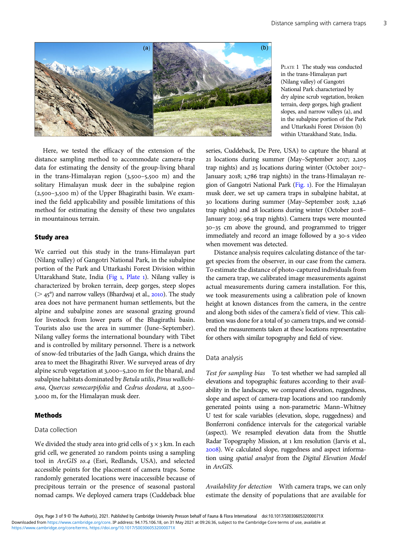$\overline{3}$ 

<span id="page-2-0"></span>

PLATE 1 The study was conducted in the trans-Himalayan part (Nilang valley) of Gangotri National Park characterized by dry alpine scrub vegetation, broken terrain, deep gorges, high gradient slopes, and narrow valleys (a), and in the subalpine portion of the Park and Uttarkashi Forest Division (b) within Uttarakhand State, India.

Here, we tested the efficacy of the extension of the distance sampling method to accommodate camera-trap data for estimating the density of the group-living bharal in the trans-Himalayan region  $(3,500-5,500)$  and the solitary Himalayan musk deer in the subalpine region  $(2,500-3,500)$  of the Upper Bhagirathi basin. We examined the field applicability and possible limitations of this method for estimating the density of these two ungulates in mountainous terrain.

#### Study area

We carried out this study in the trans-Himalayan part (Nilang valley) of Gangotri National Park, in the subalpine portion of the Park and Uttarkashi Forest Division within Uttarakhand State, India ([Fig](#page-1-0) 1, Plate 1). Nilang valley is characterized by broken terrain, deep gorges, steep slopes  $(> 45^{\circ})$  and narrow valleys (Bhardwaj et al., 2010). The study area does not have permanent human settlements, but the alpine and subalpine zones are seasonal grazing ground for livestock from lower parts of the Bhagirathi basin. Tourists also use the area in summer (June–September). Nilang valley forms the international boundary with Tibet and is controlled by military personnel. There is a network of snow-fed tributaries of the Jadh Ganga, which drains the area to meet the Bhagirathi River. We surveyed areas of dry alpine scrub vegetation at 3,000-5,200 m for the bharal, and subalpine habitats dominated by Betula utilis, Pinus wallichiana, Quercus semecarpifolia and Cedrus deodara, at 2,500-3,000 m, for the Himalayan musk deer.

#### Methods

We divided the study area into grid cells of  $3 \times 3$  km. In each grid cell, we generated 20 random points using a sampling tool in ArcGIS 10.4 (Esri, Redlands, USA), and selected accessible points for the placement of camera traps. Some randomly generated locations were inaccessible because of precipitous terrain or the presence of seasonal pastoral nomad camps. We deployed camera traps (Cuddeback blue series, Cuddeback, De Pere, USA) to capture the bharal at 21 locations during summer (May–September 2017; 2,205) trap nights) and 25 locations during winter (October 2017-January 2018; 1,786 trap nights) in the trans-Himalayan region of Gangotri National Park [\(Fig.](#page-1-0) ). For the Himalayan musk deer, we set up camera traps in subalpine habitat, at 30 locations during summer (May–September 2018; 2,246 trap nights) and 28 locations during winter (October 2018– January 2019; 964 trap nights). Camera traps were mounted – cm above the ground, and programmed to trigger immediately and record an image followed by a 30-s video when movement was detected.

Distance analysis requires calculating distance of the target species from the observer, in our case from the camera. To estimate the distance of photo-captured individuals from the camera trap, we calibrated image measurements against actual measurements during camera installation. For this, we took measurements using a calibration pole of known height at known distances from the camera, in the centre and along both sides of the camera's field of view. This calibration was done for a total of 30 camera traps, and we considered the measurements taken at these locations representative for others with similar topography and field of view.

### Data analysis

Test for sampling bias To test whether we had sampled all elevations and topographic features according to their availability in the landscape, we compared elevation, ruggedness, slope and aspect of camera-trap locations and 100 randomly generated points using a non-parametric Mann–Whitney U test for scale variables (elevation, slope, ruggedness) and Bonferroni confidence intervals for the categorical variable (aspect). We resampled elevation data from the Shuttle Radar Topography Mission, at 1 km resolution (Jarvis et al., ). We calculated slope, ruggedness and aspect information using spatial analyst from the Digital Elevation Model in ArcGIS.

Availability for detection With camera traps, we can only estimate the density of populations that are available for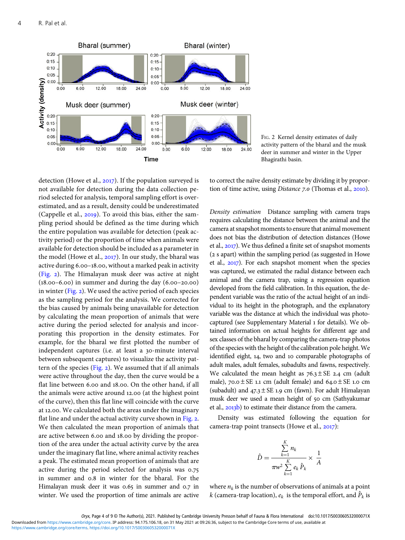

FIG. 2 Kernel density estimates of daily activity pattern of the bharal and the musk deer in summer and winter in the Upper Bhagirathi basin.

detection (Howe et al.,  $2017$ ). If the population surveyed is not available for detection during the data collection period selected for analysis, temporal sampling effort is overestimated, and as a result, density could be underestimated (Cappelle et al.,  $2019$ ). To avoid this bias, either the sampling period should be defined as the time during which the entire population was available for detection (peak activity period) or the proportion of time when animals were available for detection should be included as a parameter in the model (Howe et al.,  $2017$ ). In our study, the bharal was active during 6.00–18.00, without a marked peak in activity (Fig. ). The Himalayan musk deer was active at night  $(18.00-6.00)$  in summer and during the day  $(6.00-20.00)$ in winter (Fig.  $2$ ). We used the active period of each species as the sampling period for the analysis. We corrected for the bias caused by animals being unavailable for detection by calculating the mean proportion of animals that were active during the period selected for analysis and incorporating this proportion in the density estimates. For example, for the bharal we first plotted the number of independent captures (i.e. at least a 30-minute interval between subsequent captures) to visualize the activity pattern of the species ( $Fig. 2$ ). We assumed that if all animals were active throughout the day, then the curve would be a flat line between 6.00 and 18.00. On the other hand, if all the animals were active around 12.00 (at the highest point of the curve), then this flat line will coincide with the curve at 12.00. We calculated both the areas under the imaginary flat line and under the actual activity curve shown in Fig. 2. We then calculated the mean proportion of animals that are active between 6.00 and 18.00 by dividing the proportion of the area under the actual activity curve by the area under the imaginary flat line, where animal activity reaches a peak. The estimated mean proportion of animals that are active during the period selected for analysis was 0.75 in summer and 0.8 in winter for the bharal. For the Himalayan musk deer it was 0.65 in summer and 0.7 in winter. We used the proportion of time animals are active

to correct the naïve density estimate by dividing it by proportion of time active, using *Distance*  $7.0$  (Thomas et al.,  $2010$ ).

Density estimation Distance sampling with camera traps requires calculating the distance between the animal and the camera at snapshot moments to ensure that animal movement does not bias the distribution of detection distances (Howe et al., 2017). We thus defined a finite set of snapshot moments (2 s apart) within the sampling period (as suggested in Howe et al.,  $2017$ ). For each snapshot moment when the species was captured, we estimated the radial distance between each animal and the camera trap, using a regression equation developed from the field calibration. In this equation, the dependent variable was the ratio of the actual height of an individual to its height in the photograph, and the explanatory variable was the distance at which the individual was photocaptured (see Supplementary Material 1 for details). We obtained information on actual heights for different age and sex classes of the bharal by comparing the camera-trap photos of the species with the height of the calibration pole height. We identified eight, 14, two and 10 comparable photographs of adult males, adult females, subadults and fawns, respectively. We calculated the mean height as  $76.3 \pm SE$  2.4 cm (adult male),  $70.0 \pm SE$  1.1 cm (adult female) and  $64.0 \pm SE$  1.0 cm (subadult) and  $47.3 \pm SE$  1.9 cm (fawn). For adult Himalayan musk deer we used a mean height of 50 cm (Sathyakumar et al., 2013b) to estimate their distance from the camera.

Density was estimated following the equation for camera-trap point transects (Howe et al.,  $2017$ ):

$$
\hat{D} = \frac{\sum_{k=1}^{K} n_k}{\pi w^2 \sum_{k=1}^{K} e_k \hat{P}_k} \times \frac{1}{A}
$$

where  $n_k$  is the number of observations of animals at a point k (camera-trap location),  $e_k$  is the temporal effort, and  $\hat{P}_k$  is

[https://www.cambridge.org/core/terms.](https://www.cambridge.org/core/terms) <https://doi.org/10.1017/S003060532000071X>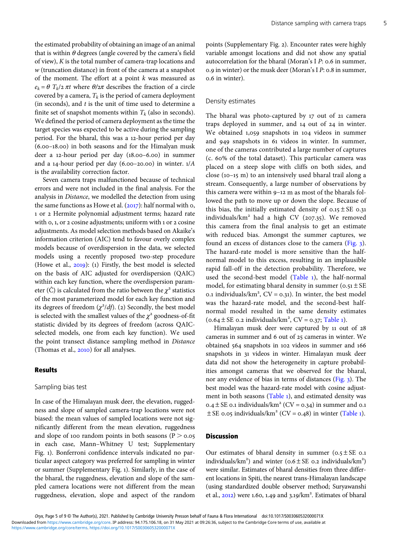the estimated probability of obtaining an image of an animal that is within  $\theta$  degrees (angle covered by the camera's field of view), K is the total number of camera-trap locations and w (truncation distance) in front of the camera at a snapshot of the moment. The effort at a point  $k$  was measured as  $e_k = \theta T_k/2 \pi t$  where  $\theta/2\pi$  describes the fraction of a circle covered by a camera,  $T_k$  is the period of camera deployment (in seconds), and  $t$  is the unit of time used to determine a finite set of snapshot moments within  $T_k$  (also in seconds). We defined the period of camera deployment as the time the target species was expected to be active during the sampling period. For the bharal, this was a 12-hour period per day  $(6.00-18.00)$  in both seasons and for the Himalyan musk deer a  $12$ -hour period per day  $(18.00 - 6.00)$  in summer and a 14-hour period per day  $(6.00-20.00)$  in winter.  $1/A$ is the availability correction factor.

Seven camera traps malfunctioned because of technical errors and were not included in the final analysis. For the analysis in Distance, we modelled the detection from using the same functions as Howe et al.  $(2017)$ : half normal with  $o$ , 1 or 2 Hermite polynomial adjustment terms; hazard rate with 0, 1, or 2 cosine adjustments; uniform with 1 or 2 cosine adjustments. As model selection methods based on Akaike's information criterion (AIC) tend to favour overly complex models because of overdispersion in the data, we selected models using a recently proposed two-step procedure (Howe et al.,  $2019$ ): (1) Firstly, the best model is selected on the basis of AIC adjusted for overdispersion (QAIC) within each key function, where the overdispersion parameter (Ĉ) is calculated from the ratio between the  $\chi^2$  statistics of the most parameterized model for each key function and its degrees of freedom  $(\chi^2/df)$ . (2) Secondly, the best model is selected with the smallest values of the  $\chi^2$  goodness-of-fit statistic divided by its degrees of freedom (across QAICselected models, one from each key function). We used the point transect distance sampling method in Distance (Thomas et al., 2010) for all analyses.

#### Results

#### Sampling bias test

In case of the Himalayan musk deer, the elevation, ruggedness and slope of sampled camera-trap locations were not biased: the mean values of sampled locations were not significantly different from the mean elevation, ruggedness and slope of 100 random points in both seasons ( $P > 0.05$ in each case, Mann–Whitney U test; Supplementary Fig. ). Bonferroni confidence intervals indicated no particular aspect category was preferred for sampling in winter or summer (Supplementary Fig. ). Similarly, in the case of the bharal, the ruggedness, elevation and slope of the sampled camera locations were not different from the mean ruggedness, elevation, slope and aspect of the random

5

points (Supplementary Fig. 2). Encounter rates were highly variable amongst locations and did not show any spatial autocorrelation for the bharal (Moran's I  $P$ : 0.6 in summer, 0.9 in winter) or the musk deer (Moran's I  $P: 0.8$  in summer, o.6 in winter).

## Density estimates

The bharal was photo-captured by  $17$  out of  $21$  camera traps deployed in summer, and 14 out of 24 in winter. We obtained  $1,059$  snapshots in  $104$  videos in summer and 949 snapshots in 61 videos in winter. In summer, one of the cameras contributed a large number of captures (c. % of the total dataset). This particular camera was placed on a steep slope with cliffs on both sides, and close (10-15 m) to an intensively used bharal trail along a stream. Consequently, a large number of observations by this camera were within  $9-12$  m as most of the bharals followed the path to move up or down the slope. Because of this bias, the initially estimated density of  $0.15 \pm SE$  0.31 individuals/ $km^2$  had a high CV (207.35). We removed this camera from the final analysis to get an estimate with reduced bias. Amongst the summer captures, we found an excess of distances close to the camera ([Fig.](#page-5-0) ). The hazard-rate model is more sensitive than the halfnormal model to this excess, resulting in an implausible rapid fall-off in the detection probability. Therefore, we used the second-best model ([Table](#page-6-0) 1), the half-normal model, for estimating bharal density in summer  $(0.51 \pm SE)$ 0.1 individuals/ $km^2$ ,  $CV = 0.31$ ). In winter, the best model was the hazard-rate model, and the second-best halfnormal model resulted in the same density estimates  $(0.64 \pm SE \ 0.2 \text{ individuals/km}^2, CV = 0.37; \text{Table 1}).$  $(0.64 \pm SE \ 0.2 \text{ individuals/km}^2, CV = 0.37; \text{Table 1}).$  $(0.64 \pm SE \ 0.2 \text{ individuals/km}^2, CV = 0.37; \text{Table 1}).$ 

Himalayan musk deer were captured by 11 out of 28 cameras in summer and 6 out of 25 cameras in winter. We obtained 564 snapshots in 102 videos in summer and 166 snapshots in 31 videos in winter. Himalayan musk deer data did not show the heterogeneity in capture probabilities amongst cameras that we observed for the bharal, nor any evidence of bias in terms of distances [\(Fig.](#page-5-0) 3). The best model was the hazard-rate model with cosine adjust-ment in both seasons ([Table](#page-6-0) 1), and estimated density was  $0.4 \pm$  SE 0.1 individuals/km<sup>2</sup> (CV = 0.34) in summer and 0.1  $\pm$  SE 0.05 individuals/km<sup>2</sup> (CV = 0.48) in winter ([Table](#page-6-0) 1).

### Discussion

Our estimates of bharal density in summer  $(0.5 \pm SE)$  0.1 individuals/km<sup>2</sup>) and winter  $(0.6 \pm SE\ 0.2\$ individuals/km<sup>2</sup>) were similar. Estimates of bharal densities from three different locations in Spiti, the nearest trans-Himalayan landscape (using standardized double observer method; Suryawanshi et al.,  $2012$ ) were 1.60, 1.49 and  $3.19/km<sup>2</sup>$ . Estimates of bharal

Oryx, Page 5 of 9 © The Author(s), 2021. Published by Cambridge University Presson behalf of Fauna & Flora International doi:10.1017/S003060532000071X [https://www.cambridge.org/core/terms.](https://www.cambridge.org/core/terms) <https://doi.org/10.1017/S003060532000071X> Downloaded from [https://www.cambridge.org/core.](https://www.cambridge.org/core) IP address: 94.175.106.18, on 31 May 2021 at 09:26:36, subject to the Cambridge Core terms of use, available at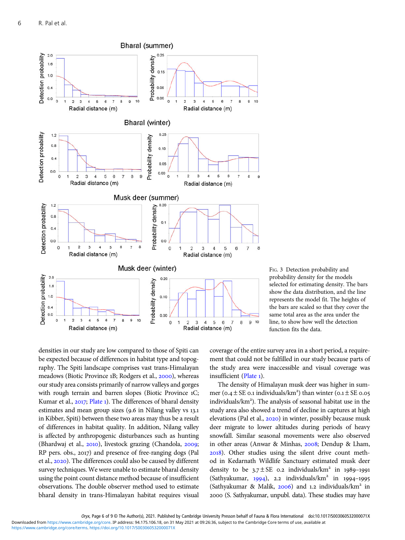<span id="page-5-0"></span>

FIG. 3 Detection probability and probability density for the models selected for estimating density. The bars show the data distribution, and the line represents the model fit. The heights of the bars are scaled so that they cover the same total area as the area under the line, to show how well the detection function fits the data.

densities in our study are low compared to those of Spiti can be expected because of differences in habitat type and topography. The Spiti landscape comprises vast trans-Himalayan meadows (Biotic Province 1B; Rodgers et al., 2000), whereas our study area consists primarily of narrow valleys and gorges with rough terrain and barren slopes (Biotic Province 1C; Kumar et al., 2017; [Plate](#page-2-0) 1). The differences of bharal density estimates and mean group sizes (9.6 in Nilang valley vs 13.1 in Kibber, Spiti) between these two areas may thus be a result of differences in habitat quality. In addition, Nilang valley is affected by anthropogenic disturbances such as hunting (Bhardwaj et al., 2010), livestock grazing (Chandola, 2009; RP pers. obs., 2017) and presence of free-ranging dogs (Pal et al., 2020). The differences could also be caused by different survey techniques. We were unable to estimate bharal density using the point count distance method because of insufficient observations. The double observer method used to estimate bharal density in trans-Himalayan habitat requires visual

coverage of the entire survey area in a short period, a requirement that could not be fulfilled in our study because parts of the study area were inaccessible and visual coverage was insufficient [\(Plate](#page-2-0) 1).

The density of Himalayan musk deer was higher in summer (0.4  $\pm$  SE 0.1 individuals/km<sup>2</sup>) than winter (0.1  $\pm$  SE 0.05 individuals/km ). The analysis of seasonal habitat use in the study area also showed a trend of decline in captures at high elevations (Pal et al., 2020) in winter, possibly because musk deer migrate to lower altitudes during periods of heavy snowfall. Similar seasonal movements were also observed in other areas (Anwar & Minhas, 2008; Dendup & Lham, ). Other studies using the silent drive count method in Kedarnath Wildlife Sanctuary estimated musk deer density to be  $3.7 \pm SE$  0.2 individuals/km<sup>2</sup> in 1989-1991 (Sathyakumar,  $1994$ ), 2.2 individuals/km<sup>2</sup> in  $1994-1995$ (Sathyakumar & Malik, 2006) and 1.2 individuals/ $km<sup>2</sup>$  in (S. Sathyakumar, unpubl. data). These studies may have

[https://www.cambridge.org/core/terms.](https://www.cambridge.org/core/terms) <https://doi.org/10.1017/S003060532000071X>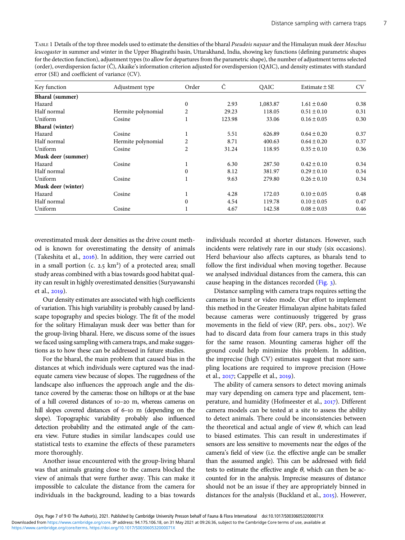<span id="page-6-0"></span>TABLE 1 Details of the top three models used to estimate the densities of the bharal Pseudois nayaur and the Himalayan musk deer Moschus leucogaster in summer and winter in the Upper Bhagirathi basin, Uttarakhand, India, showing key functions (defining parametric shapes for the detection function), adjustment types (to allow for departures from the parametric shape), the number of adjustment terms selected (order), overdispersion factor (Ĉ), Akaike's information criterion adjusted for overdispersion (QAIC), and density estimates with standard error (SE) and coefficient of variance (CV).

| Key function           | Adjustment type    | Order            | Ĉ      | <b>OAIC</b> | Estimate $\pm$ SE | <b>CV</b> |
|------------------------|--------------------|------------------|--------|-------------|-------------------|-----------|
| <b>Bharal</b> (summer) |                    |                  |        |             |                   |           |
| Hazard                 |                    | $\mathbf{0}$     | 2.93   | 1,083.87    | $1.61 \pm 0.60$   | 0.38      |
| Half normal            | Hermite polynomial | 2                | 29.23  | 118.05      | $0.51 \pm 0.10$   | 0.31      |
| Uniform                | Cosine             |                  | 123.98 | 33.06       | $0.16 \pm 0.05$   | 0.30      |
| <b>Bharal</b> (winter) |                    |                  |        |             |                   |           |
| Hazard                 | Cosine             |                  | 5.51   | 626.89      | $0.64 \pm 0.20$   | 0.37      |
| Half normal            | Hermite polynomial | 2                | 8.71   | 400.63      | $0.64 \pm 0.20$   | 0.37      |
| Uniform                | Cosine             | 2                | 31.24  | 118.95      | $0.35 \pm 0.10$   | 0.36      |
| Musk deer (summer)     |                    |                  |        |             |                   |           |
| Hazard                 | Cosine             | <b>I</b>         | 6.30   | 287.50      | $0.42 \pm 0.10$   | 0.34      |
| Half normal            |                    | $\boldsymbol{0}$ | 8.12   | 381.97      | $0.29 \pm 0.10$   | 0.34      |
| Uniform                | Cosine             |                  | 9.63   | 279.80      | $0.26 \pm 0.10$   | 0.34      |
| Musk deer (winter)     |                    |                  |        |             |                   |           |
| Hazard                 | Cosine             |                  | 4.28   | 172.03      | $0.10 \pm 0.05$   | 0.48      |
| Half normal            |                    | $\Omega$         | 4.54   | 119.78      | $0.10 \pm 0.05$   | 0.47      |
| Uniform                | Cosine             |                  | 4.67   | 142.58      | $0.08 \pm 0.03$   | 0.46      |

overestimated musk deer densities as the drive count method is known for overestimating the density of animals (Takeshita et al.,  $2016$ ). In addition, they were carried out in a small portion (c. 2.5 km<sup>2</sup>) of a protected area; small study areas combined with a bias towards good habitat quality can result in highly overestimated densities (Suryawanshi et al., 2019).

Our density estimates are associated with high coefficients of variation. This high variability is probably caused by landscape topography and species biology. The fit of the model for the solitary Himalayan musk deer was better than for the group-living bharal. Here, we discuss some of the issues we faced using sampling with camera traps, and make suggestions as to how these can be addressed in future studies.

For the bharal, the main problem that caused bias in the distances at which individuals were captured was the inadequate camera view because of slopes. The ruggedness of the landscape also influences the approach angle and the distance covered by the cameras: those on hilltops or at the base of a hill covered distances of 10-20 m, whereas cameras on hill slopes covered distances of 6-10 m (depending on the slope). Topographic variability probably also influenced detection probability and the estimated angle of the camera view. Future studies in similar landscapes could use statistical tests to examine the effects of these parameters more thoroughly.

Another issue encountered with the group-living bharal was that animals grazing close to the camera blocked the view of animals that were further away. This can make it impossible to calculate the distance from the camera for individuals in the background, leading to a bias towards

individuals recorded at shorter distances. However, such incidents were relatively rare in our study (six occasions). Herd behaviour also affects captures, as bharals tend to follow the first individual when moving together. Because we analysed individual distances from the camera, this can cause heaping in the distances recorded [\(Fig.](#page-5-0) 3).

Distance sampling with camera traps requires setting the cameras in burst or video mode. Our effort to implement this method in the Greater Himalayan alpine habitats failed because cameras were continuously triggered by grass movements in the field of view (RP, pers. obs., 2017). We had to discard data from four camera traps in this study for the same reason. Mounting cameras higher off the ground could help minimize this problem. In addition, the imprecise (high CV) estimates suggest that more sampling locations are required to improve precision (Howe et al., 2017; Cappelle et al., 2019).

The ability of camera sensors to detect moving animals may vary depending on camera type and placement, temperature, and humidity (Hofmeester et al., 2017). Different camera models can be tested at a site to assess the ability to detect animals. There could be inconsistencies between the theoretical and actual angle of view  $\theta$ , which can lead to biased estimates. This can result in underestimates if sensors are less sensitive to movements near the edges of the camera's field of view (i.e. the effective angle can be smaller than the assumed angle). This can be addressed with field tests to estimate the effective angle  $\theta$ , which can then be accounted for in the analysis. Imprecise measures of distance should not be an issue if they are appropriately binned in distances for the analysis (Buckland et al.,  $2015$ ). However,

 $\overline{7}$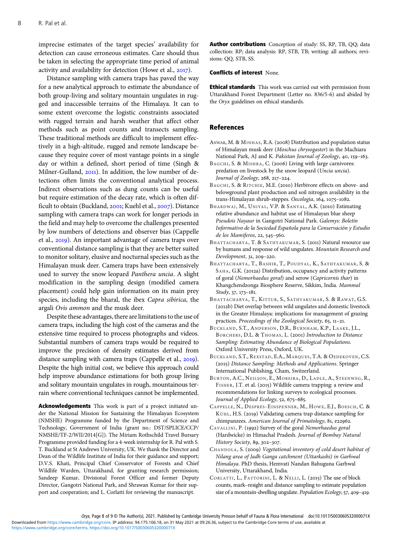<span id="page-7-0"></span>imprecise estimates of the target species' availability for detection can cause erroneous estimates. Care should thus be taken in selecting the appropriate time period of animal activity and availability for detection (Howe et al.,  $2017$ ).

Distance sampling with camera traps has paved the way for a new analytical approach to estimate the abundance of both group-living and solitary mountain ungulates in rugged and inaccessible terrains of the Himalaya. It can to some extent overcome the logistic constraints associated with rugged terrain and harsh weather that affect other methods such as point counts and transects sampling. These traditional methods are difficult to implement effectively in a high-altitude, rugged and remote landscape because they require cover of most vantage points in a single day or within a defined, short period of time (Singh & Milner-Gulland, 2011). In addition, the low number of detections often limits the conventional analytical process. Indirect observations such as dung counts can be useful but require estimation of the decay rate, which is often difficult to obtain (Buckland, 2001; Kuehl et al., 2007). Distance sampling with camera traps can work for longer periods in the field and may help to overcome the challenges presented by low numbers of detections and observer bias (Cappelle et al., 2019). An important advantage of camera traps over conventional distance sampling is that they are better suited to monitor solitary, elusive and nocturnal species such as the Himalayan musk deer. Camera traps have been extensively used to survey the snow leopard Panthera uncia. A slight modification in the sampling design (modified camera placement) could help gain information on its main prey species, including the bharal, the ibex Capra sibirica, the argali Ovis ammon and the musk deer.

Despite these advantages, there are limitations to the use of camera traps, including the high cost of the cameras and the extensive time required to process photographs and videos. Substantial numbers of camera traps would be required to improve the precision of density estimates derived from distance sampling with camera traps (Cappelle et al., 2019). Despite the high initial cost, we believe this approach could help improve abundance estimations for both group living and solitary mountain ungulates in rough, mountainous terrain where conventional techniques cannot be implemented.

Acknowledgements This work is part of a project initiated under the National Mission for Sustaining the Himalayan Ecosystem (NMSHE) Programme funded by the Department of Science and Technology, Government of India (grant no.: DST/SPLICE/CCP/ NMSHE/TF-2/WII/2014[G]). The Miriam Rothschild Travel Bursary Programme provided funding for a 4-week internship for R. Pal with S. T. Buckland at St Andrews University, UK. We thank the Director and Dean of the Wildlife Institute of India for their guidance and support; D.V.S. Khati, Principal Chief Conservator of Forests and Chief Wildlife Warden, Uttarakhand, for granting research permission; Sandeep Kumar, Divisional Forest Officer and former Deputy Director, Gangotri National Park, and Shrawan Kumar for their support and cooperation; and L. Corlatti for reviewing the manuscript.

Author contributions Conception of study: SS, RP, TB, QQ; data collection: RP; data analysis: RP, STB, TB; writing: all authors; revisions: QQ, STB, SS.

#### Conflicts of interest None.

**Ethical standards** This work was carried out with permission from Uttarakhand Forest Department (Letter no. 836/5-6) and abided by the Oryx guidelines on ethical standards.

#### References

- ANWAR, M. & MINHAS, R.A. (2008) Distribution and population status of Himalayan musk deer (Moschus chrysogaster) in the Machiara National Park, AJ and K. Pakistan Journal of Zoology, 40, 159-163.
- BAGCHI, S. & MISHRA, C. (2006) Living with large carnivores: predation on livestock by the snow leopard (Uncia uncia). Journal of Zoology,  $268$ ,  $217-224$ .
- BAGCHI, S. & RITCHIE, M.E. (2010) Herbivore effects on above- and belowground plant production and soil nitrogen availability in the trans-Himalayan shrub-steppes. Oecologia, 164, 1075-1082.
- BHARDWAJ, M., UNIYAL, V.P. & SANYAL, A.K. (2010) Estimating relative abundance and habitat use of Himalayan blue sheep Pseudois Nayaur in Gangotri National Park. Galemys: Boletín Informativo de la Sociedad Española para la Conservación y Estudio de los Mamíferos, 22, 545-560.
- BHATTACHARYA, T. & SATHYAKUMAR, S. (2011) Natural resource use by humans and response of wild ungulates. Mountain Research and Development, 31, 209-220.
- BHATTACHARYA, T., BASHIR, T., POUDYAL, K., SATHYAKUMAR, S. & SAHA, G.K. (2012a) Distribution, occupancy and activity patterns of goral (Nemorhaedus goral) and serow (Capricornis thar) in Khangchendzonga Biosphere Reserve, Sikkim, India. Mammal Study, 37, 173-181.
- BHATTACHARYA, T., KITTUR, S., SATHYAKUMAR, S. & RAWAT, G.S. (2012b) Diet overlap between wild ungulates and domestic livestock in the Greater Himalaya: implications for management of grazing practices. Proceedings of the Zoological Society, 65, 11-21.
- BUCKLAND, S.T., ANDERSON, D.R., BURNHAM, K.P., LAAKE, J.L., BORCHERS, D.L. & THOMAS, L. (2001) Introduction to Distance Sampling: Estimating Abundance of Biological Populations. Oxford University Press, Oxford, UK.
- BUCKLAND, S.T., REXSTAD, E.A., MARQUES, T.A. & OEDEKOVEN, C.S. (2015) Distance Sampling: Methods and Applications. Springer International Publishing, Cham, Switzerland.
- BURTON, A.C., NEILSON, E., MOREIRA, D., LADLE, A., STEENWEG, R., FISHER, J.T. et al. (2015) Wildlife camera trapping: a review and recommendations for linking surveys to ecological processes. Journal of Applied Ecology, 52, 675-685.
- CAPPELLE, N., DESPRÉS -EINSPENNER, M., HOWE, E.J., BOESCH, C. & KÜHL, H.S. (2019) Validating camera trap distance sampling for chimpanzees. American Journal of Primatology, 81, e22962.
- CAVALLINI, P. (1992) Survey of the goral Nemorhaedus goral (Hardwicke) in Himachal Pradesh. Journal of Bombay Natural History Society, 89, 302-307.
- CHANDOLA, S. (2009) Vegetational inventory of cold desert habitat of Nilang area of Jadh Ganga catchment (Uttarkashi) in Garhwal Himalaya. PhD thesis, Hemvati Nandan Bahuguna Garhwal University, Uttarakhand, India.
- CORLATTI, L., FATTORINI, L. & NELLI, L. (2015) The use of block counts, mark–resight and distance sampling to estimate population size of a mountain-dwelling ungulate. Population Ecology, 57, 409-419.